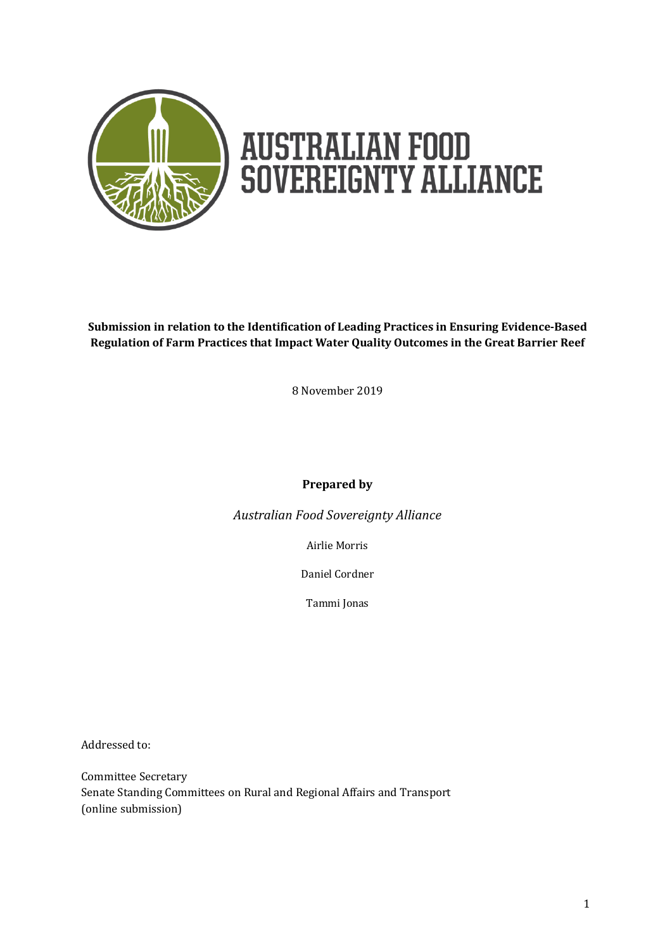

**Submission in relation to the Identification of Leading Practices in Ensuring Evidence-Based Regulation of Farm Practices that Impact Water Quality Outcomes in the Great Barrier Reef**

8 November 2019

#### **Prepared by**

*Australian Food Sovereignty Alliance*

Airlie Morris

Daniel Cordner

Tammi Jonas

Addressed to:

Committee Secretary Senate Standing Committees on Rural and Regional Affairs and Transport (online submission)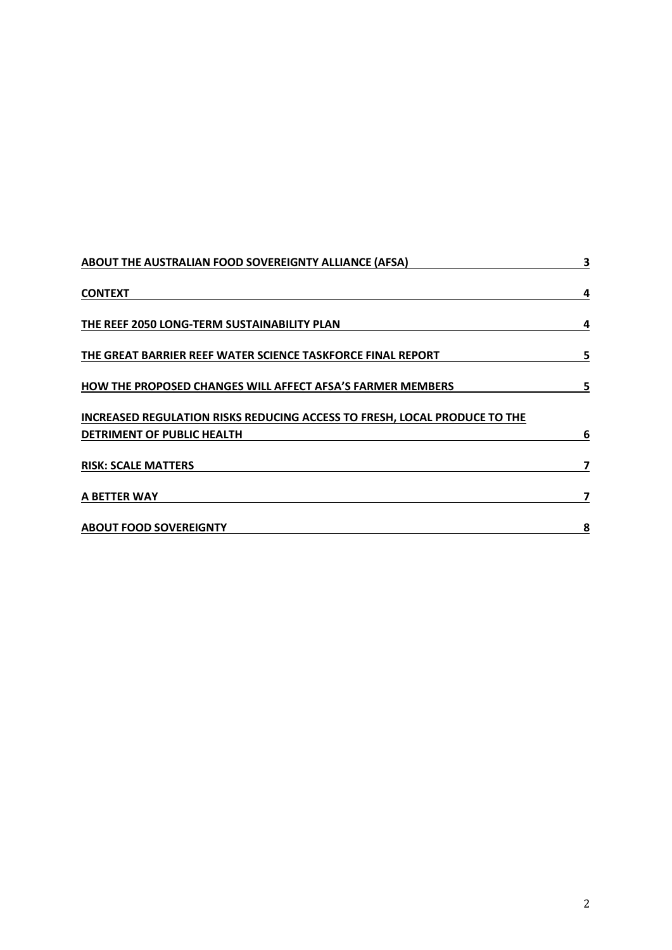| ABOUT THE AUSTRALIAN FOOD SOVEREIGNTY ALLIANCE (AFSA)                                                                                                                                                                                                                                 | 3 |
|---------------------------------------------------------------------------------------------------------------------------------------------------------------------------------------------------------------------------------------------------------------------------------------|---|
| <b>CONTEXT</b><br>THE REEF 2050 LONG-TERM SUSTAINABILITY PLAN<br>THE GREAT BARRIER REEF WATER SCIENCE TASKFORCE FINAL REPORT<br><b>HOW THE PROPOSED CHANGES WILL AFFECT AFSA'S FARMER MEMBERS</b><br><b>INCREASED REGULATION RISKS REDUCING ACCESS TO FRESH, LOCAL PRODUCE TO THE</b> | 4 |
|                                                                                                                                                                                                                                                                                       | 4 |
|                                                                                                                                                                                                                                                                                       | 5 |
|                                                                                                                                                                                                                                                                                       | 5 |
|                                                                                                                                                                                                                                                                                       |   |
| DETRIMENT OF PUBLIC HEALTH                                                                                                                                                                                                                                                            | 6 |
| <b>RISK: SCALE MATTERS</b>                                                                                                                                                                                                                                                            |   |
| A BETTER WAY                                                                                                                                                                                                                                                                          | 7 |
| <b>ABOUT FOOD SOVEREIGNTY</b>                                                                                                                                                                                                                                                         | 8 |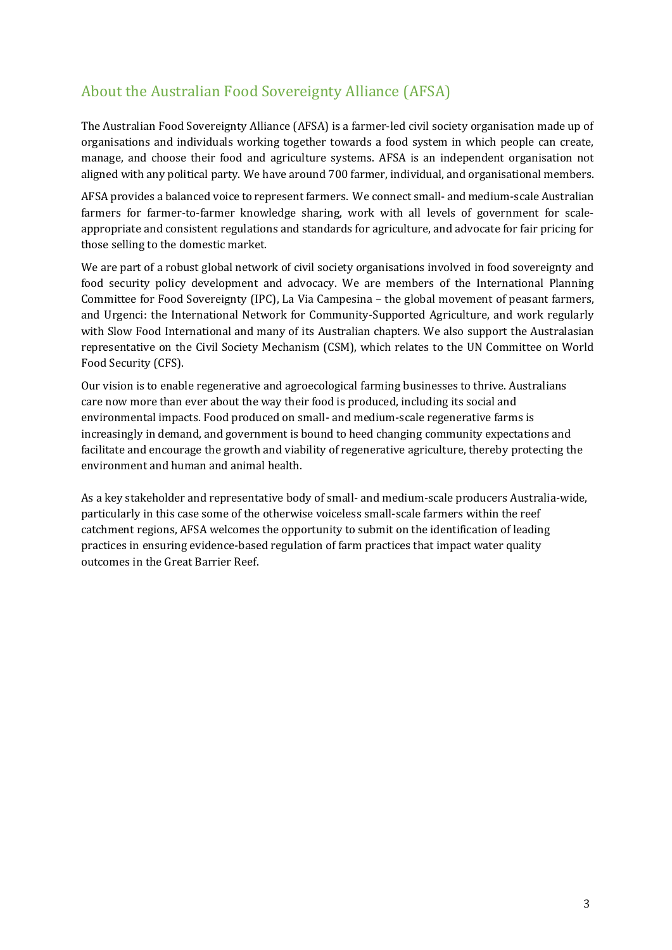# About the Australian Food Sovereignty Alliance (AFSA)

The Australian Food Sovereignty Alliance (AFSA) is a farmer-led civil society organisation made up of organisations and individuals working together towards a food system in which people can create, manage, and choose their food and agriculture systems. AFSA is an independent organisation not aligned with any political party. We have around 700 farmer, individual, and organisational members.

AFSA provides a balanced voice to represent farmers. We connect small- and medium-scale Australian farmers for farmer-to-farmer knowledge sharing, work with all levels of government for scaleappropriate and consistent regulations and standards for agriculture, and advocate for fair pricing for those selling to the domestic market.

We are part of a robust global network of civil society organisations involved in food sovereignty and food security policy development and advocacy. We are members of the International Planning Committee for Food Sovereignty (IPC), La Via Campesina – the global movement of peasant farmers, and Urgenci: the International Network for Community-Supported Agriculture, and work regularly with Slow Food International and many of its Australian chapters. We also support the Australasian representative on the Civil Society Mechanism (CSM), which relates to the UN Committee on World Food Security (CFS).

Our vision is to enable regenerative and agroecological farming businesses to thrive. Australians care now more than ever about the way their food is produced, including its social and environmental impacts. Food produced on small- and medium-scale regenerative farms is increasingly in demand, and government is bound to heed changing community expectations and facilitate and encourage the growth and viability of regenerative agriculture, thereby protecting the environment and human and animal health.

As a key stakeholder and representative body of small- and medium-scale producers Australia-wide, particularly in this case some of the otherwise voiceless small-scale farmers within the reef catchment regions, AFSA welcomes the opportunity to submit on the identification of leading practices in ensuring evidence-based regulation of farm practices that impact water quality outcomes in the Great Barrier Reef.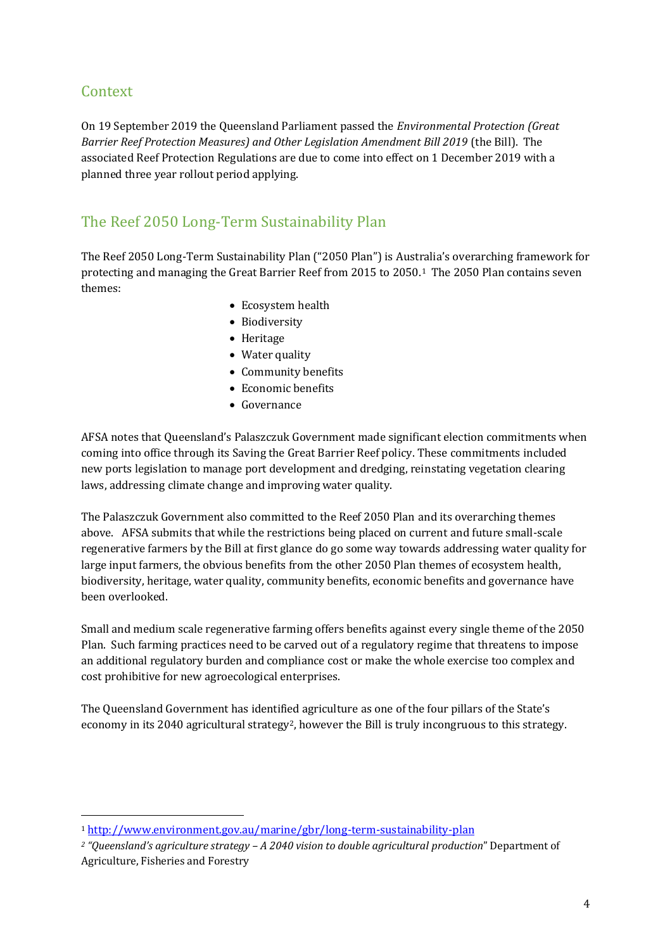### Context

l

On 19 September 2019 the Queensland Parliament passed the *Environmental Protection (Great Barrier Reef Protection Measures) and Other Legislation Amendment Bill 2019* (the Bill). The associated Reef Protection Regulations are due to come into effect on 1 December 2019 with a planned three year rollout period applying.

# The Reef 2050 Long-Term Sustainability Plan

The Reef 2050 Long-Term Sustainability Plan ("2050 Plan") is Australia's overarching framework for protecting and managing the Great Barrier Reef from 2015 to 2050.1 The 2050 Plan contains seven themes:

- Ecosystem health
- Biodiversity
- Heritage
- Water quality
- Community benefits
- Economic benefits
- Governance

AFSA notes that Queensland's Palaszczuk Government made significant election commitments when coming into office through its Saving the Great Barrier Reef policy. These commitments included new ports legislation to manage port development and dredging, reinstating vegetation clearing laws, addressing climate change and improving water quality.

The Palaszczuk Government also committed to the Reef 2050 Plan and its overarching themes above. AFSA submits that while the restrictions being placed on current and future small-scale regenerative farmers by the Bill at first glance do go some way towards addressing water quality for large input farmers, the obvious benefits from the other 2050 Plan themes of ecosystem health, biodiversity, heritage, water quality, community benefits, economic benefits and governance have been overlooked.

Small and medium scale regenerative farming offers benefits against every single theme of the 2050 Plan. Such farming practices need to be carved out of a regulatory regime that threatens to impose an additional regulatory burden and compliance cost or make the whole exercise too complex and cost prohibitive for new agroecological enterprises.

The Queensland Government has identified agriculture as one of the four pillars of the State's economy in its 2040 agricultural strategy<sup>2</sup>, however the Bill is truly incongruous to this strategy.

<sup>1</sup> <http://www.environment.gov.au/marine/gbr/long-term-sustainability-plan>

*<sup>2</sup> "Queensland's agriculture strategy – A 2040 vision to double agricultural production*" Department of Agriculture, Fisheries and Forestry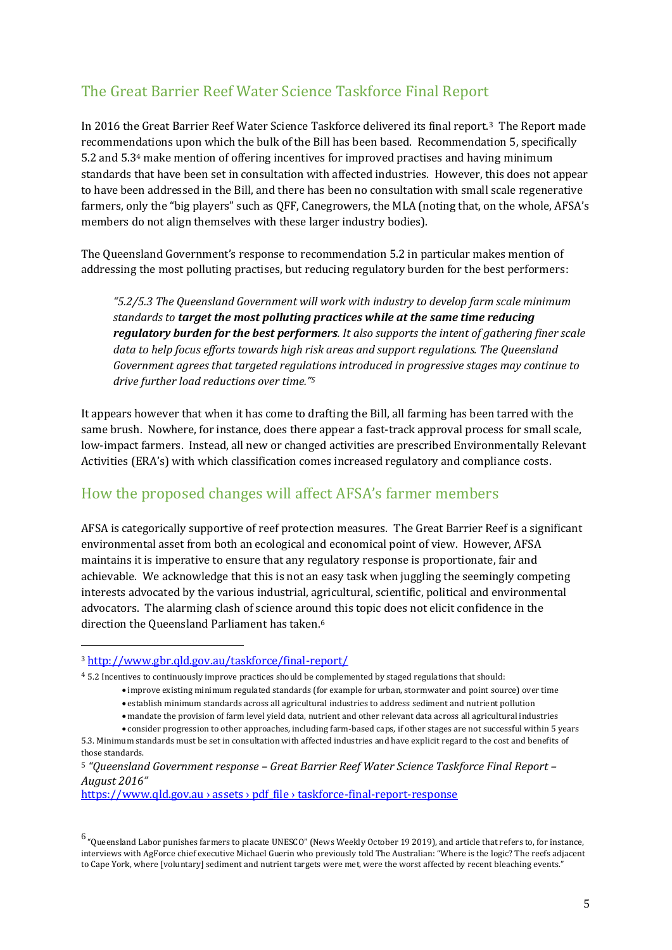# The Great Barrier Reef Water Science Taskforce Final Report

In 2016 the Great Barrier Reef Water Science Taskforce delivered its final report.3 The Report made recommendations upon which the bulk of the Bill has been based. Recommendation 5, specifically 5.2 and 5.3<sup>4</sup> make mention of offering incentives for improved practises and having minimum standards that have been set in consultation with affected industries. However, this does not appear to have been addressed in the Bill, and there has been no consultation with small scale regenerative farmers, only the "big players" such as QFF, Canegrowers, the MLA (noting that, on the whole, AFSA's members do not align themselves with these larger industry bodies).

The Queensland Government's response to recommendation 5.2 in particular makes mention of addressing the most polluting practises, but reducing regulatory burden for the best performers:

*"5.2/5.3 The Queensland Government will work with industry to develop farm scale minimum standards to target the most polluting practices while at the same time reducing regulatory burden for the best performers. It also supports the intent of gathering finer scale data to help focus efforts towards high risk areas and support regulations. The Queensland Government agrees that targeted regulations introduced in progressive stages may continue to drive further load reductions over time."<sup>5</sup>*

It appears however that when it has come to drafting the Bill, all farming has been tarred with the same brush. Nowhere, for instance, does there appear a fast-track approval process for small scale, low-impact farmers. Instead, all new or changed activities are prescribed Environmentally Relevant Activities (ERA's) with which classification comes increased regulatory and compliance costs.

### How the proposed changes will affect AFSA's farmer members

AFSA is categorically supportive of reef protection measures. The Great Barrier Reef is a significant environmental asset from both an ecological and economical point of view. However, AFSA maintains it is imperative to ensure that any regulatory response is proportionate, fair and achievable. We acknowledge that this is not an easy task when juggling the seemingly competing interests advocated by the various industrial, agricultural, scientific, political and environmental advocators. The alarming clash of science around this topic does not elicit confidence in the direction the Queensland Parliament has taken.<sup>6</sup>

l

https://www.qld.gov.au › assets › pdf\_file › taskforce-final-report-response

<sup>3</sup> <http://www.gbr.qld.gov.au/taskforce/final-report/>

<sup>4</sup> 5.2 Incentives to continuously improve practices should be complemented by staged regulations that should:

<sup>•</sup> improve existing minimum regulated standards (for example for urban, stormwater and point source) over time

<sup>•</sup> establish minimum standards across all agricultural industries to address sediment and nutrient pollution

<sup>•</sup> mandate the provision of farm level yield data, nutrient and other relevant data across all agricultural industries

<sup>•</sup> consider progression to other approaches, including farm-based caps, if other stages are not successful within 5 years 5.3. Minimum standards must be set in consultation with affected industries and have explicit regard to the cost and benefits of those standards.

<sup>5</sup> *"Queensland Government response – Great Barrier Reef Water Science Taskforce Final Report – August 2016"* 

 $^6$  "Queensland Labor punishes farmers to placate UNESCO" (News Weekly October 19 2019), and article that refers to, for instance, interviews wit[h AgForce chief executive Michael Guerin](https://www.theaustralian.com.au/nation/new-reef-laws-hit-farmers/news-story/6f0ce0e0a8256d19333a513e1edf297a) who previously told The Australian: "Where is the logic? The reefs adjacent to Cape York, where [voluntary] sediment and nutrient targets were met, were the worst affected by recent bleaching events."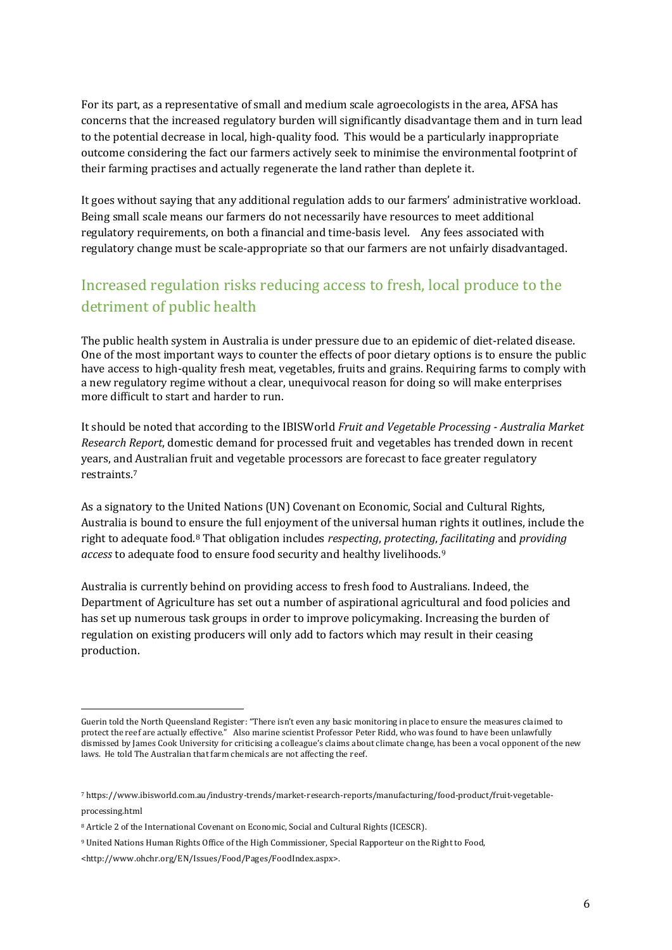For its part, as a representative of small and medium scale agroecologists in the area, AFSA has concerns that the increased regulatory burden will significantly disadvantage them and in turn lead to the potential decrease in local, high-quality food. This would be a particularly inappropriate outcome considering the fact our farmers actively seek to minimise the environmental footprint of their farming practises and actually regenerate the land rather than deplete it.

It goes without saying that any additional regulation adds to our farmers' administrative workload. Being small scale means our farmers do not necessarily have resources to meet additional regulatory requirements, on both a financial and time-basis level. Any fees associated with regulatory change must be scale-appropriate so that our farmers are not unfairly disadvantaged.

# Increased regulation risks reducing access to fresh, local produce to the detriment of public health

The public health system in Australia is under pressure due to an epidemic of diet-related disease. One of the most important ways to counter the effects of poor dietary options is to ensure the public have access to high-quality fresh meat, vegetables, fruits and grains. Requiring farms to comply with a new regulatory regime without a clear, unequivocal reason for doing so will make enterprises more difficult to start and harder to run.

It should be noted that according to the IBISWorld *Fruit and Vegetable Processing - Australia Market Research Report*, domestic demand for processed fruit and vegetables has trended down in recent years, and Australian fruit and vegetable processors are forecast to face greater regulatory restraints.<sup>7</sup>

As a signatory to the United Nations (UN) Covenant on Economic, Social and Cultural Rights, Australia is bound to ensure the full enjoyment of the universal human rights it outlines, include the right to adequate food.<sup>8</sup> That obligation includes *respecting*, *protecting*, *facilitating* and *providing access* to adequate food to ensure food security and healthy livelihoods.<sup>9</sup>

Australia is currently behind on providing access to fresh food to Australians. Indeed, the Department of Agriculture has set out a number of aspirational agricultural and food policies and has set up numerous task groups in order to improve policymaking. Increasing the burden of regulation on existing producers will only add to factors which may result in their ceasing production.

l

Guerin told the [North Queensland Register](https://www.northqueenslandregister.com.au/story/6327479/qld-farmers-brace-for-new-reef-laws/): "There isn't even any basic monitoring in place to ensure the measures claimed to protect the reef are actually effective." Also marine scientist [Professor Peter Ridd,](https://www.abc.net.au/news/2019-04-16/jcu-scientist-peter-ridd-sacking-unlawful-federal-court-judgment/11021554) who was found to have been unlawfully dismissed by James Cook University for criticising a colleague's claims about climate change, has been a vocal opponent of the new laws. He told [The Australian](https://www.theaustralian.com.au/nation/politics/scientist-peter-ridd-to-help-farmers-fight-new-great-barrier-reef-rules/news-story/6ba34394a8ed73788ead805244154757) that farm chemicals are not affecting the reef.

<sup>7</sup> [https://www.ibisworld.com.au/industry-trends/market-research-reports/manufacturing/food-product/fruit-vegetable](https://www.ibisworld.com.au/industry-trends/market-research-reports/manufacturing/food-product/fruit-vegetable-processing.html)[processing.html](https://www.ibisworld.com.au/industry-trends/market-research-reports/manufacturing/food-product/fruit-vegetable-processing.html)

<sup>8</sup> Article 2 of the International Covenant on Economic, Social and Cultural Rights (ICESCR).

<sup>9</sup> United Nations Human Rights Office of the High Commissioner, Special Rapporteur on the Right to Food,

<sup>&</sup>lt;http://www.ohchr.org/EN/Issues/Food/Pages/FoodIndex.aspx>.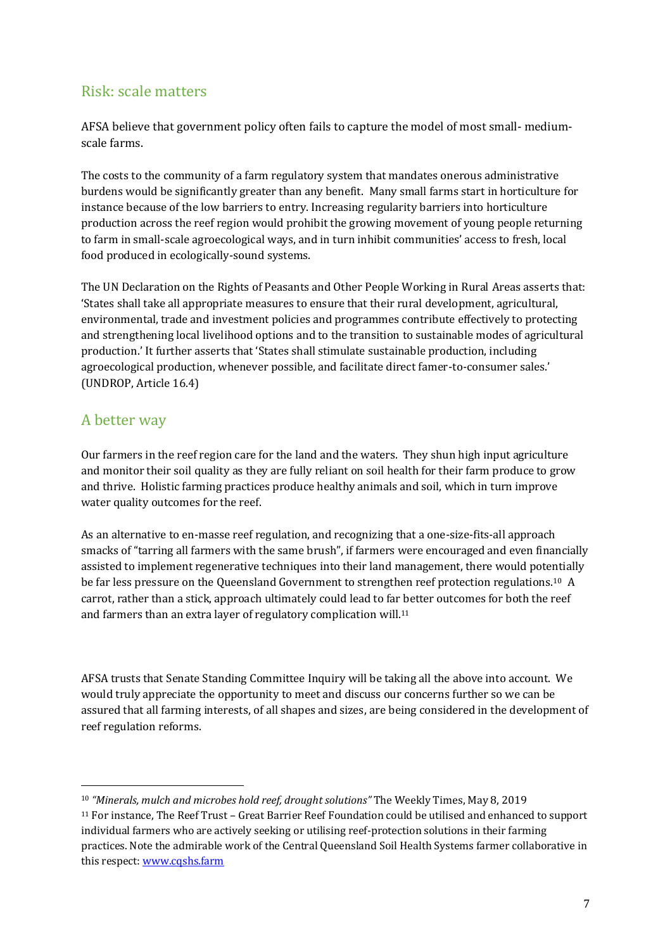### Risk: scale matters

AFSA believe that government policy often fails to capture the model of most small- mediumscale farms.

The costs to the community of a farm regulatory system that mandates onerous administrative burdens would be significantly greater than any benefit. Many small farms start in horticulture for instance because of the low barriers to entry. Increasing regularity barriers into horticulture production across the reef region would prohibit the growing movement of young people returning to farm in small-scale agroecological ways, and in turn inhibit communities' access to fresh, local food produced in ecologically-sound systems.

The UN Declaration on the Rights of Peasants and Other People Working in Rural Areas asserts that: 'States shall take all appropriate measures to ensure that their rural development, agricultural, environmental, trade and investment policies and programmes contribute effectively to protecting and strengthening local livelihood options and to the transition to sustainable modes of agricultural production.' It further asserts that 'States shall stimulate sustainable production, including agroecological production, whenever possible, and facilitate direct famer-to-consumer sales.' (UNDROP, Article 16.4)

#### A better way

 $\overline{a}$ 

Our farmers in the reef region care for the land and the waters. They shun high input agriculture and monitor their soil quality as they are fully reliant on soil health for their farm produce to grow and thrive. Holistic farming practices produce healthy animals and soil, which in turn improve water quality outcomes for the reef.

As an alternative to en-masse reef regulation, and recognizing that a one-size-fits-all approach smacks of "tarring all farmers with the same brush", if farmers were encouraged and even financially assisted to implement regenerative techniques into their land management, there would potentially be far less pressure on the Queensland Government to strengthen reef protection regulations.10 A carrot, rather than a stick, approach ultimately could lead to far better outcomes for both the reef and farmers than an extra layer of regulatory complication will.<sup>11</sup>

AFSA trusts that Senate Standing Committee Inquiry will be taking all the above into account. We would truly appreciate the opportunity to meet and discuss our concerns further so we can be assured that all farming interests, of all shapes and sizes, are being considered in the development of reef regulation reforms.

<sup>10</sup> *"Minerals, mulch and microbes hold reef, drought solutions"* The Weekly Times, May 8, 2019 <sup>11</sup> For instance, The Reef Trust – Great Barrier Reef Foundation could be utilised and enhanced to support individual farmers who are actively seeking or utilising reef-protection solutions in their farming practices. Note the admirable work of the Central Queensland Soil Health Systems farmer collaborative in this respect: [www.cqshs.farm](http://www.cqshs.farm/)